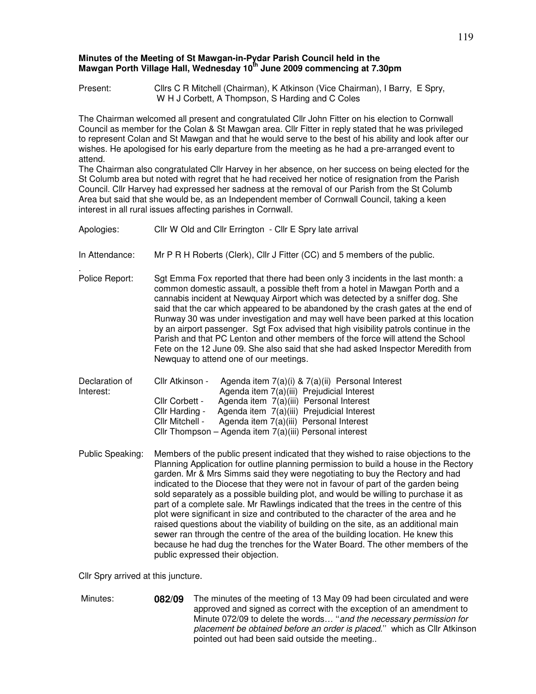## **Minutes of the Meeting of St Mawgan-in-Pydar Parish Council held in the Mawgan Porth Village Hall, Wednesday 10th June 2009 commencing at 7.30pm**

Present: Cllrs C R Mitchell (Chairman), K Atkinson (Vice Chairman), I Barry, E Spry, W H J Corbett, A Thompson, S Harding and C Coles

The Chairman welcomed all present and congratulated Cllr John Fitter on his election to Cornwall Council as member for the Colan & St Mawgan area. Cllr Fitter in reply stated that he was privileged to represent Colan and St Mawgan and that he would serve to the best of his ability and look after our wishes. He apologised for his early departure from the meeting as he had a pre-arranged event to attend.

The Chairman also congratulated Cllr Harvey in her absence, on her success on being elected for the St Columb area but noted with regret that he had received her notice of resignation from the Parish Council. Cllr Harvey had expressed her sadness at the removal of our Parish from the St Columb Area but said that she would be, as an Independent member of Cornwall Council, taking a keen interest in all rural issues affecting parishes in Cornwall.

| Apologies:                  | Cllr W Old and Cllr Errington - Cllr E Spry late arrival                                                                                                                                                                                                                                                                                                                                                                                                                                                                                                                                                                                                                                                                                                                                                                                                                                                            |  |  |
|-----------------------------|---------------------------------------------------------------------------------------------------------------------------------------------------------------------------------------------------------------------------------------------------------------------------------------------------------------------------------------------------------------------------------------------------------------------------------------------------------------------------------------------------------------------------------------------------------------------------------------------------------------------------------------------------------------------------------------------------------------------------------------------------------------------------------------------------------------------------------------------------------------------------------------------------------------------|--|--|
| In Attendance:              | Mr P R H Roberts (Clerk), Cllr J Fitter (CC) and 5 members of the public.                                                                                                                                                                                                                                                                                                                                                                                                                                                                                                                                                                                                                                                                                                                                                                                                                                           |  |  |
| Police Report:              | Sgt Emma Fox reported that there had been only 3 incidents in the last month: a<br>common domestic assault, a possible theft from a hotel in Mawgan Porth and a<br>cannabis incident at Newquay Airport which was detected by a sniffer dog. She<br>said that the car which appeared to be abandoned by the crash gates at the end of<br>Runway 30 was under investigation and may well have been parked at this location<br>by an airport passenger. Sgt Fox advised that high visibility patrols continue in the<br>Parish and that PC Lenton and other members of the force will attend the School<br>Fete on the 12 June 09. She also said that she had asked Inspector Meredith from<br>Newquay to attend one of our meetings.                                                                                                                                                                                 |  |  |
| Declaration of<br>Interest: | Cllr Atkinson -<br>Agenda item 7(a)(i) & 7(a)(ii) Personal Interest<br>Agenda item 7(a)(iii) Prejudicial Interest<br>Agenda item 7(a)(iii) Personal Interest<br>Cllr Corbett -<br>Agenda item 7(a)(iii) Prejudicial Interest<br>Cllr Harding -<br>Agenda item 7(a)(iii) Personal Interest<br>Cllr Mitchell -<br>Cllr Thompson - Agenda item 7(a)(iii) Personal interest                                                                                                                                                                                                                                                                                                                                                                                                                                                                                                                                             |  |  |
| Public Speaking:            | Members of the public present indicated that they wished to raise objections to the<br>Planning Application for outline planning permission to build a house in the Rectory<br>garden. Mr & Mrs Simms said they were negotiating to buy the Rectory and had<br>indicated to the Diocese that they were not in favour of part of the garden being<br>sold separately as a possible building plot, and would be willing to purchase it as<br>part of a complete sale. Mr Rawlings indicated that the trees in the centre of this<br>plot were significant in size and contributed to the character of the area and he<br>raised questions about the viability of building on the site, as an additional main<br>sewer ran through the centre of the area of the building location. He knew this<br>because he had dug the trenches for the Water Board. The other members of the<br>public expressed their objection. |  |  |

Cllr Spry arrived at this juncture.

 Minutes: **082/09** The minutes of the meeting of 13 May 09 had been circulated and were approved and signed as correct with the exception of an amendment to Minute 072/09 to delete the words... "and the necessary permission for placement be obtained before an order is placed.'' which as Cllr Atkinson pointed out had been said outside the meeting..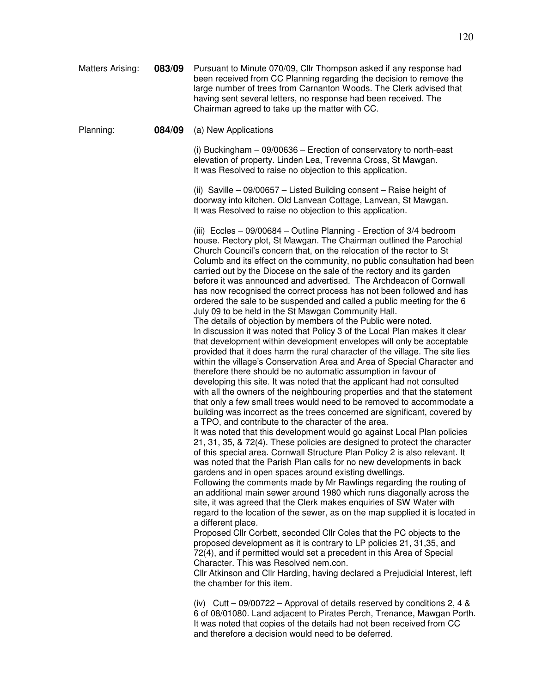| Matters Arising: | 083/09 | Pursuant to Minute 070/09, Cllr Thompson asked if any response had<br>been received from CC Planning regarding the decision to remove the<br>large number of trees from Carnanton Woods. The Clerk advised that<br>having sent several letters, no response had been received. The<br>Chairman agreed to take up the matter with CC.                                                                                                                                                                                                                                                                                                                                                                                                                                                                                                                                                                                                                                                                                                                                                                                                                                                                                                                                                                                                                                                                                                                                                                                                                                                                                                                                                                                                                                                                                                                                                                                                                                                                                                                                                                                                                                                                                                                                                                                                                                                                                                                    |
|------------------|--------|---------------------------------------------------------------------------------------------------------------------------------------------------------------------------------------------------------------------------------------------------------------------------------------------------------------------------------------------------------------------------------------------------------------------------------------------------------------------------------------------------------------------------------------------------------------------------------------------------------------------------------------------------------------------------------------------------------------------------------------------------------------------------------------------------------------------------------------------------------------------------------------------------------------------------------------------------------------------------------------------------------------------------------------------------------------------------------------------------------------------------------------------------------------------------------------------------------------------------------------------------------------------------------------------------------------------------------------------------------------------------------------------------------------------------------------------------------------------------------------------------------------------------------------------------------------------------------------------------------------------------------------------------------------------------------------------------------------------------------------------------------------------------------------------------------------------------------------------------------------------------------------------------------------------------------------------------------------------------------------------------------------------------------------------------------------------------------------------------------------------------------------------------------------------------------------------------------------------------------------------------------------------------------------------------------------------------------------------------------------------------------------------------------------------------------------------------------|
| Planning:        | 084/09 | (a) New Applications                                                                                                                                                                                                                                                                                                                                                                                                                                                                                                                                                                                                                                                                                                                                                                                                                                                                                                                                                                                                                                                                                                                                                                                                                                                                                                                                                                                                                                                                                                                                                                                                                                                                                                                                                                                                                                                                                                                                                                                                                                                                                                                                                                                                                                                                                                                                                                                                                                    |
|                  |        | (i) Buckingham $-$ 09/00636 $-$ Erection of conservatory to north-east<br>elevation of property. Linden Lea, Trevenna Cross, St Mawgan.<br>It was Resolved to raise no objection to this application.                                                                                                                                                                                                                                                                                                                                                                                                                                                                                                                                                                                                                                                                                                                                                                                                                                                                                                                                                                                                                                                                                                                                                                                                                                                                                                                                                                                                                                                                                                                                                                                                                                                                                                                                                                                                                                                                                                                                                                                                                                                                                                                                                                                                                                                   |
|                  |        | (ii) Saville - 09/00657 - Listed Building consent - Raise height of<br>doorway into kitchen. Old Lanvean Cottage, Lanvean, St Mawgan.<br>It was Resolved to raise no objection to this application.                                                                                                                                                                                                                                                                                                                                                                                                                                                                                                                                                                                                                                                                                                                                                                                                                                                                                                                                                                                                                                                                                                                                                                                                                                                                                                                                                                                                                                                                                                                                                                                                                                                                                                                                                                                                                                                                                                                                                                                                                                                                                                                                                                                                                                                     |
|                  |        | (iii) Eccles - 09/00684 - Outline Planning - Erection of 3/4 bedroom<br>house. Rectory plot, St Mawgan. The Chairman outlined the Parochial<br>Church Council's concern that, on the relocation of the rector to St<br>Columb and its effect on the community, no public consultation had been<br>carried out by the Diocese on the sale of the rectory and its garden<br>before it was announced and advertised. The Archdeacon of Cornwall<br>has now recognised the correct process has not been followed and has<br>ordered the sale to be suspended and called a public meeting for the 6<br>July 09 to be held in the St Mawgan Community Hall.<br>The details of objection by members of the Public were noted.<br>In discussion it was noted that Policy 3 of the Local Plan makes it clear<br>that development within development envelopes will only be acceptable<br>provided that it does harm the rural character of the village. The site lies<br>within the village's Conservation Area and Area of Special Character and<br>therefore there should be no automatic assumption in favour of<br>developing this site. It was noted that the applicant had not consulted<br>with all the owners of the neighbouring properties and that the statement<br>that only a few small trees would need to be removed to accommodate a<br>building was incorrect as the trees concerned are significant, covered by<br>a TPO, and contribute to the character of the area.<br>It was noted that this development would go against Local Plan policies<br>21, 31, 35, & 72(4). These policies are designed to protect the character<br>of this special area. Cornwall Structure Plan Policy 2 is also relevant. It<br>was noted that the Parish Plan calls for no new developments in back<br>gardens and in open spaces around existing dwellings.<br>Following the comments made by Mr Rawlings regarding the routing of<br>an additional main sewer around 1980 which runs diagonally across the<br>site, it was agreed that the Clerk makes enquiries of SW Water with<br>regard to the location of the sewer, as on the map supplied it is located in<br>a different place.<br>Proposed Cllr Corbett, seconded Cllr Coles that the PC objects to the<br>proposed development as it is contrary to LP policies 21, 31,35, and<br>72(4), and if permitted would set a precedent in this Area of Special<br>Character. This was Resolved nem.con. |

Cllr Atkinson and Cllr Harding, having declared a Prejudicial Interest, left the chamber for this item.

(iv) Cutt – 09/00722 – Approval of details reserved by conditions 2, 4 & 6 of 08/01080. Land adjacent to Pirates Perch, Trenance, Mawgan Porth. It was noted that copies of the details had not been received from CC and therefore a decision would need to be deferred.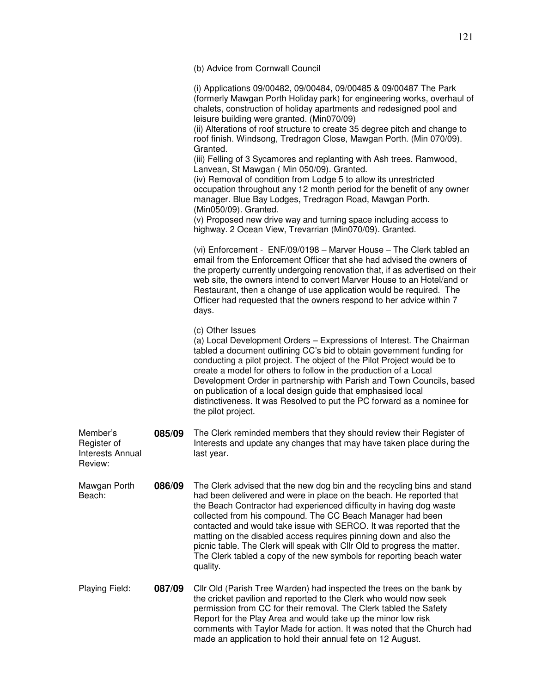(b) Advice from Cornwall Council

(i) Applications 09/00482, 09/00484, 09/00485 & 09/00487 The Park (formerly Mawgan Porth Holiday park) for engineering works, overhaul of chalets, construction of holiday apartments and redesigned pool and leisure building were granted. (Min070/09)

(ii) Alterations of roof structure to create 35 degree pitch and change to roof finish. Windsong, Tredragon Close, Mawgan Porth. (Min 070/09). Granted.

(iii) Felling of 3 Sycamores and replanting with Ash trees. Ramwood, Lanvean, St Mawgan ( Min 050/09). Granted.

(iv) Removal of condition from Lodge 5 to allow its unrestricted occupation throughout any 12 month period for the benefit of any owner manager. Blue Bay Lodges, Tredragon Road, Mawgan Porth. (Min050/09). Granted.

(v) Proposed new drive way and turning space including access to highway. 2 Ocean View, Trevarrian (Min070/09). Granted.

(vi) Enforcement - ENF/09/0198 – Marver House – The Clerk tabled an email from the Enforcement Officer that she had advised the owners of the property currently undergoing renovation that, if as advertised on their web site, the owners intend to convert Marver House to an Hotel/and or Restaurant, then a change of use application would be required. The Officer had requested that the owners respond to her advice within 7 days.

(c) Other Issues

(a) Local Development Orders – Expressions of Interest. The Chairman tabled a document outlining CC's bid to obtain government funding for conducting a pilot project. The object of the Pilot Project would be to create a model for others to follow in the production of a Local Development Order in partnership with Parish and Town Councils, based on publication of a local design guide that emphasised local distinctiveness. It was Resolved to put the PC forward as a nominee for the pilot project.

Member's Register of Interests Annual Review: **085/09** The Clerk reminded members that they should review their Register of Interests and update any changes that may have taken place during the last year.

Mawgan Porth Beach: **086/09** The Clerk advised that the new dog bin and the recycling bins and stand had been delivered and were in place on the beach. He reported that the Beach Contractor had experienced difficulty in having dog waste collected from his compound. The CC Beach Manager had been contacted and would take issue with SERCO. It was reported that the matting on the disabled access requires pinning down and also the picnic table. The Clerk will speak with Cllr Old to progress the matter. The Clerk tabled a copy of the new symbols for reporting beach water quality.

Playing Field: **087/09** Cllr Old (Parish Tree Warden) had inspected the trees on the bank by the cricket pavilion and reported to the Clerk who would now seek permission from CC for their removal. The Clerk tabled the Safety Report for the Play Area and would take up the minor low risk comments with Taylor Made for action. It was noted that the Church had made an application to hold their annual fete on 12 August.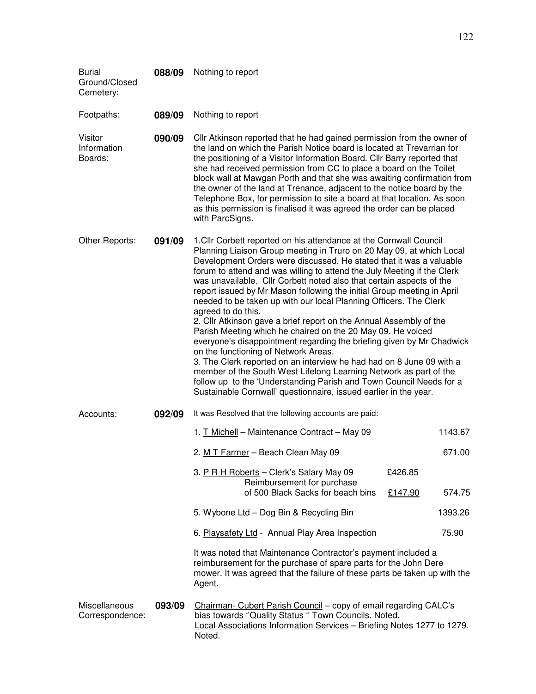| <b>Burial</b><br>Ground/Closed<br>Cemetery: | 088/09 | Nothing to report                                                                                                                                                                                                                                                                                                                                                                                                                                                                                                                                                                                                                                                                                                                                                                                                                                                                                                                                                                                                                                                                       |         |         |
|---------------------------------------------|--------|-----------------------------------------------------------------------------------------------------------------------------------------------------------------------------------------------------------------------------------------------------------------------------------------------------------------------------------------------------------------------------------------------------------------------------------------------------------------------------------------------------------------------------------------------------------------------------------------------------------------------------------------------------------------------------------------------------------------------------------------------------------------------------------------------------------------------------------------------------------------------------------------------------------------------------------------------------------------------------------------------------------------------------------------------------------------------------------------|---------|---------|
| Footpaths:                                  | 089/09 | Nothing to report                                                                                                                                                                                                                                                                                                                                                                                                                                                                                                                                                                                                                                                                                                                                                                                                                                                                                                                                                                                                                                                                       |         |         |
| Visitor<br>Information<br>Boards:           | 090/09 | Cllr Atkinson reported that he had gained permission from the owner of<br>the land on which the Parish Notice board is located at Trevarrian for<br>the positioning of a Visitor Information Board. Cllr Barry reported that<br>she had received permission from CC to place a board on the Toilet<br>block wall at Mawgan Porth and that she was awaiting confirmation from<br>the owner of the land at Trenance, adjacent to the notice board by the<br>Telephone Box, for permission to site a board at that location. As soon<br>as this permission is finalised it was agreed the order can be placed<br>with ParcSigns.                                                                                                                                                                                                                                                                                                                                                                                                                                                           |         |         |
| Other Reports:                              | 091/09 | 1. Cllr Corbett reported on his attendance at the Cornwall Council<br>Planning Liaison Group meeting in Truro on 20 May 09, at which Local<br>Development Orders were discussed. He stated that it was a valuable<br>forum to attend and was willing to attend the July Meeting if the Clerk<br>was unavailable. Cllr Corbett noted also that certain aspects of the<br>report issued by Mr Mason following the initial Group meeting in April<br>needed to be taken up with our local Planning Officers. The Clerk<br>agreed to do this.<br>2. Cllr Atkinson gave a brief report on the Annual Assembly of the<br>Parish Meeting which he chaired on the 20 May 09. He voiced<br>everyone's disappointment regarding the briefing given by Mr Chadwick<br>on the functioning of Network Areas.<br>3. The Clerk reported on an interview he had had on 8 June 09 with a<br>member of the South West Lifelong Learning Network as part of the<br>follow up to the 'Understanding Parish and Town Council Needs for a<br>Sustainable Cornwall' questionnaire, issued earlier in the year. |         |         |
| Accounts:                                   | 092/09 | It was Resolved that the following accounts are paid:                                                                                                                                                                                                                                                                                                                                                                                                                                                                                                                                                                                                                                                                                                                                                                                                                                                                                                                                                                                                                                   |         |         |
|                                             |        | 1. T Michell - Maintenance Contract - May 09                                                                                                                                                                                                                                                                                                                                                                                                                                                                                                                                                                                                                                                                                                                                                                                                                                                                                                                                                                                                                                            |         | 1143.67 |
|                                             |        | 2. M T Farmer - Beach Clean May 09                                                                                                                                                                                                                                                                                                                                                                                                                                                                                                                                                                                                                                                                                                                                                                                                                                                                                                                                                                                                                                                      |         | 671.00  |
|                                             |        | 3. P R H Roberts - Clerk's Salary May 09<br>Reimbursement for purchase                                                                                                                                                                                                                                                                                                                                                                                                                                                                                                                                                                                                                                                                                                                                                                                                                                                                                                                                                                                                                  | £426.85 |         |
|                                             |        | of 500 Black Sacks for beach bins                                                                                                                                                                                                                                                                                                                                                                                                                                                                                                                                                                                                                                                                                                                                                                                                                                                                                                                                                                                                                                                       | £147.90 | 574.75  |
|                                             |        | 5. Wybone Ltd - Dog Bin & Recycling Bin                                                                                                                                                                                                                                                                                                                                                                                                                                                                                                                                                                                                                                                                                                                                                                                                                                                                                                                                                                                                                                                 |         | 1393.26 |
|                                             |        | 6. Playsafety Ltd - Annual Play Area Inspection                                                                                                                                                                                                                                                                                                                                                                                                                                                                                                                                                                                                                                                                                                                                                                                                                                                                                                                                                                                                                                         |         | 75.90   |
|                                             |        | It was noted that Maintenance Contractor's payment included a<br>reimbursement for the purchase of spare parts for the John Dere<br>mower. It was agreed that the failure of these parts be taken up with the<br>Agent.                                                                                                                                                                                                                                                                                                                                                                                                                                                                                                                                                                                                                                                                                                                                                                                                                                                                 |         |         |
| Miscellaneous<br>Correspondence:            | 093/09 | Chairman- Cubert Parish Council - copy of email regarding CALC's<br>bias towards "Quality Status " Town Councils. Noted.<br>Local Associations Information Services - Briefing Notes 1277 to 1279.<br>Noted.                                                                                                                                                                                                                                                                                                                                                                                                                                                                                                                                                                                                                                                                                                                                                                                                                                                                            |         |         |